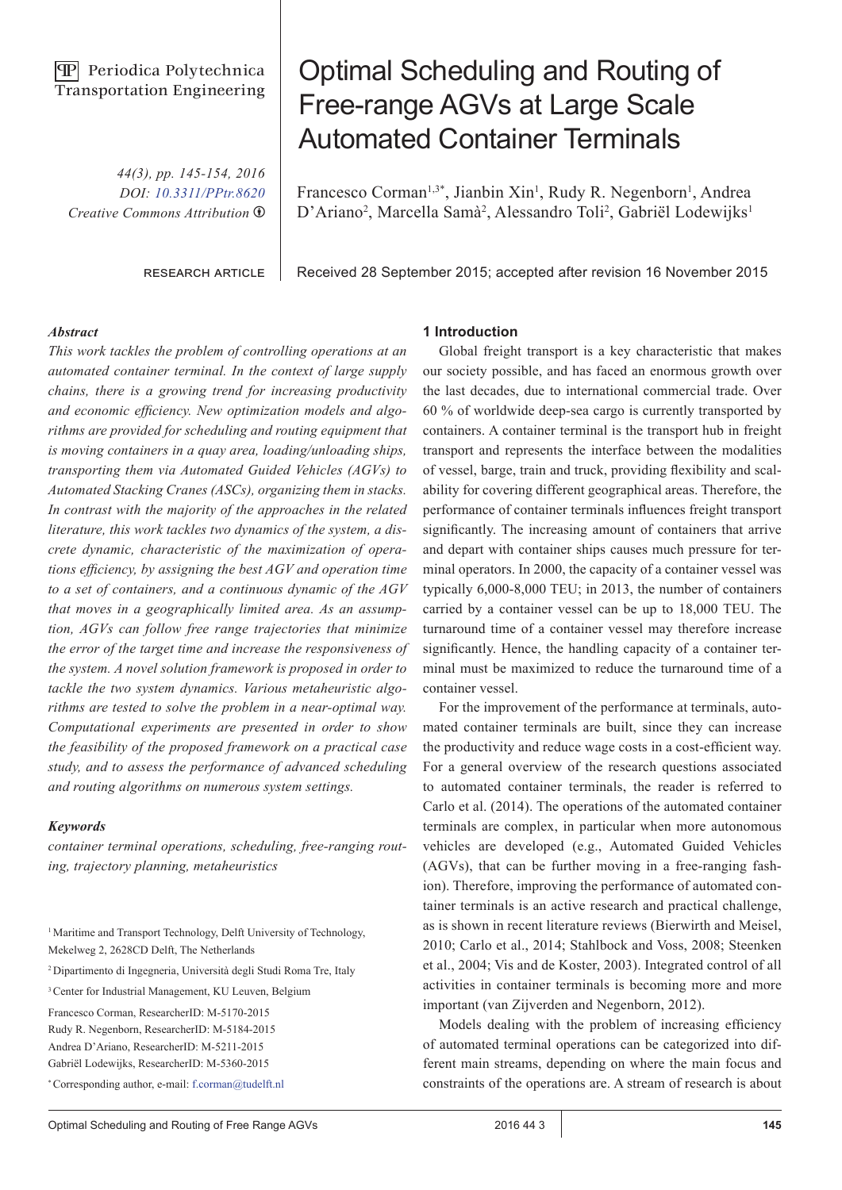## **PP** Periodica Polytechnica Transportation Engineering

*44(3), pp. 145-154, 2016 DOI: [10.3311/PPtr.8620](http://dx.doi.org/10.3311/PPtr.8620) Creative Commons Attribution* b

research article

# Optimal Scheduling and Routing of Free-range AGVs at Large Scale Automated Container Terminals

Francesco Corman<sup>1,3\*</sup>, Jianbin Xin<sup>1</sup>, Rudy R. Negenborn<sup>1</sup>, Andrea D'Ariano<sup>2</sup>, Marcella Samà<sup>2</sup>, Alessandro Toli<sup>2</sup>, Gabriël Lodewijks<sup>1</sup>

Received 28 September 2015; accepted after revision 16 November 2015

## *Abstract*

*This work tackles the problem of controlling operations at an automated container terminal. In the context of large supply chains, there is a growing trend for increasing productivity and economic efficiency. New optimization models and algorithms are provided for scheduling and routing equipment that is moving containers in a quay area, loading/unloading ships, transporting them via Automated Guided Vehicles (AGVs) to Automated Stacking Cranes (ASCs), organizing them in stacks. In contrast with the majority of the approaches in the related literature, this work tackles two dynamics of the system, a discrete dynamic, characteristic of the maximization of operations efficiency, by assigning the best AGV and operation time to a set of containers, and a continuous dynamic of the AGV that moves in a geographically limited area. As an assumption, AGVs can follow free range trajectories that minimize the error of the target time and increase the responsiveness of the system. A novel solution framework is proposed in order to tackle the two system dynamics. Various metaheuristic algorithms are tested to solve the problem in a near-optimal way. Computational experiments are presented in order to show the feasibility of the proposed framework on a practical case study, and to assess the performance of advanced scheduling and routing algorithms on numerous system settings.*

#### *Keywords*

*container terminal operations, scheduling, free-ranging routing, trajectory planning, metaheuristics*

<sup>1</sup> Maritime and Transport Technology, Delft University of Technology, Mekelweg 2, 2628CD Delft, The Netherlands

2 Dipartimento di Ingegneria, Università degli Studi Roma Tre, Italy

3 Center for Industrial Management, KU Leuven, Belgium

Francesco Corman, ResearcherID: M-5170-2015 Rudy R. Negenborn, ResearcherID: M-5184-2015 Andrea D'Ariano, ResearcherID: M-5211-2015 Gabriël Lodewijks, ResearcherID: M-5360-2015

\* Corresponding author, e-mail: f.corman@tudelft.nl

#### **1 Introduction**

Global freight transport is a key characteristic that makes our society possible, and has faced an enormous growth over the last decades, due to international commercial trade. Over 60 % of worldwide deep-sea cargo is currently transported by containers. A container terminal is the transport hub in freight transport and represents the interface between the modalities of vessel, barge, train and truck, providing flexibility and scalability for covering different geographical areas. Therefore, the performance of container terminals influences freight transport significantly. The increasing amount of containers that arrive and depart with container ships causes much pressure for terminal operators. In 2000, the capacity of a container vessel was typically 6,000-8,000 TEU; in 2013, the number of containers carried by a container vessel can be up to 18,000 TEU. The turnaround time of a container vessel may therefore increase significantly. Hence, the handling capacity of a container terminal must be maximized to reduce the turnaround time of a container vessel.

For the improvement of the performance at terminals, automated container terminals are built, since they can increase the productivity and reduce wage costs in a cost-efficient way. For a general overview of the research questions associated to automated container terminals, the reader is referred to Carlo et al. (2014). The operations of the automated container terminals are complex, in particular when more autonomous vehicles are developed (e.g., Automated Guided Vehicles (AGVs), that can be further moving in a free-ranging fashion). Therefore, improving the performance of automated container terminals is an active research and practical challenge, as is shown in recent literature reviews (Bierwirth and Meisel, 2010; Carlo et al., 2014; Stahlbock and Voss, 2008; Steenken et al., 2004; Vis and de Koster, 2003). Integrated control of all activities in container terminals is becoming more and more important (van Zijverden and Negenborn, 2012).

Models dealing with the problem of increasing efficiency of automated terminal operations can be categorized into different main streams, depending on where the main focus and constraints of the operations are. A stream of research is about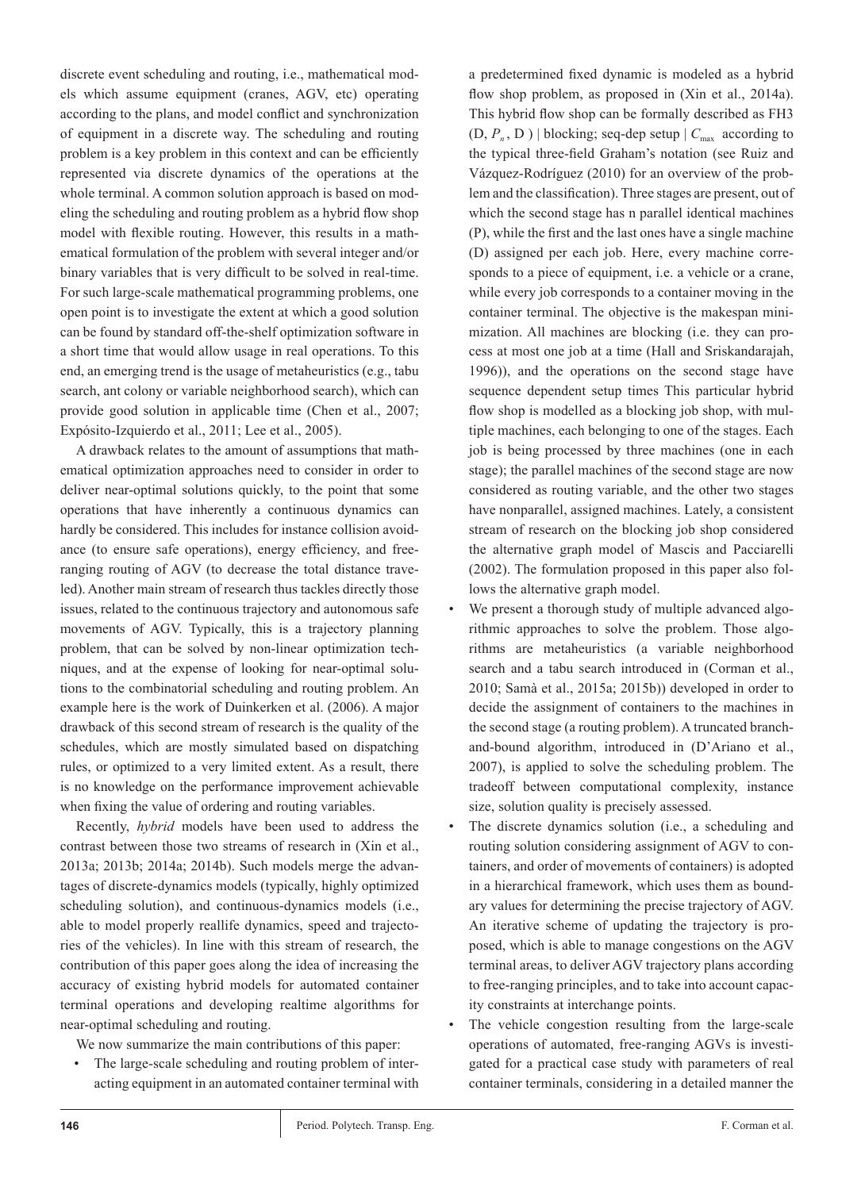discrete event scheduling and routing, i.e., mathematical models which assume equipment (cranes, AGV, etc) operating according to the plans, and model conflict and synchronization of equipment in a discrete way. The scheduling and routing problem is a key problem in this context and can be efficiently represented via discrete dynamics of the operations at the whole terminal. A common solution approach is based on modeling the scheduling and routing problem as a hybrid flow shop model with flexible routing. However, this results in a mathematical formulation of the problem with several integer and/or binary variables that is very difficult to be solved in real-time. For such large-scale mathematical programming problems, one open point is to investigate the extent at which a good solution can be found by standard off-the-shelf optimization software in a short time that would allow usage in real operations. To this end, an emerging trend is the usage of metaheuristics (e.g., tabu search, ant colony or variable neighborhood search), which can provide good solution in applicable time (Chen et al., 2007; Expósito-Izquierdo et al., 2011; Lee et al., 2005).

A drawback relates to the amount of assumptions that mathematical optimization approaches need to consider in order to deliver near-optimal solutions quickly, to the point that some operations that have inherently a continuous dynamics can hardly be considered. This includes for instance collision avoidance (to ensure safe operations), energy efficiency, and freeranging routing of AGV (to decrease the total distance traveled). Another main stream of research thus tackles directly those issues, related to the continuous trajectory and autonomous safe movements of AGV. Typically, this is a trajectory planning problem, that can be solved by non-linear optimization techniques, and at the expense of looking for near-optimal solutions to the combinatorial scheduling and routing problem. An example here is the work of Duinkerken et al. (2006). A major drawback of this second stream of research is the quality of the schedules, which are mostly simulated based on dispatching rules, or optimized to a very limited extent. As a result, there is no knowledge on the performance improvement achievable when fixing the value of ordering and routing variables.

Recently, *hybrid* models have been used to address the contrast between those two streams of research in (Xin et al., 2013a; 2013b; 2014a; 2014b). Such models merge the advantages of discrete-dynamics models (typically, highly optimized scheduling solution), and continuous-dynamics models (i.e., able to model properly reallife dynamics, speed and trajectories of the vehicles). In line with this stream of research, the contribution of this paper goes along the idea of increasing the accuracy of existing hybrid models for automated container terminal operations and developing realtime algorithms for near-optimal scheduling and routing.

We now summarize the main contributions of this paper:

• The large-scale scheduling and routing problem of interacting equipment in an automated container terminal with a predetermined fixed dynamic is modeled as a hybrid flow shop problem, as proposed in (Xin et al., 2014a). This hybrid flow shop can be formally described as FH3  $(D, P_n, D)$  | blocking; seq-dep setup |  $C_{\text{max}}$  according to the typical three-field Graham's notation (see Ruiz and Vázquez-Rodríguez (2010) for an overview of the problem and the classification). Three stages are present, out of which the second stage has n parallel identical machines (P), while the first and the last ones have a single machine (D) assigned per each job. Here, every machine corresponds to a piece of equipment, i.e. a vehicle or a crane, while every job corresponds to a container moving in the container terminal. The objective is the makespan minimization. All machines are blocking (i.e. they can process at most one job at a time (Hall and Sriskandarajah, 1996)), and the operations on the second stage have sequence dependent setup times This particular hybrid flow shop is modelled as a blocking job shop, with multiple machines, each belonging to one of the stages. Each job is being processed by three machines (one in each stage); the parallel machines of the second stage are now considered as routing variable, and the other two stages have nonparallel, assigned machines. Lately, a consistent stream of research on the blocking job shop considered the alternative graph model of Mascis and Pacciarelli (2002). The formulation proposed in this paper also follows the alternative graph model.

- We present a thorough study of multiple advanced algorithmic approaches to solve the problem. Those algorithms are metaheuristics (a variable neighborhood search and a tabu search introduced in (Corman et al., 2010; Samà et al., 2015a; 2015b)) developed in order to decide the assignment of containers to the machines in the second stage (a routing problem). A truncated branchand-bound algorithm, introduced in (D'Ariano et al., 2007), is applied to solve the scheduling problem. The tradeoff between computational complexity, instance size, solution quality is precisely assessed.
- The discrete dynamics solution (i.e., a scheduling and routing solution considering assignment of AGV to containers, and order of movements of containers) is adopted in a hierarchical framework, which uses them as boundary values for determining the precise trajectory of AGV. An iterative scheme of updating the trajectory is proposed, which is able to manage congestions on the AGV terminal areas, to deliver AGV trajectory plans according to free-ranging principles, and to take into account capacity constraints at interchange points.
- The vehicle congestion resulting from the large-scale operations of automated, free-ranging AGVs is investigated for a practical case study with parameters of real container terminals, considering in a detailed manner the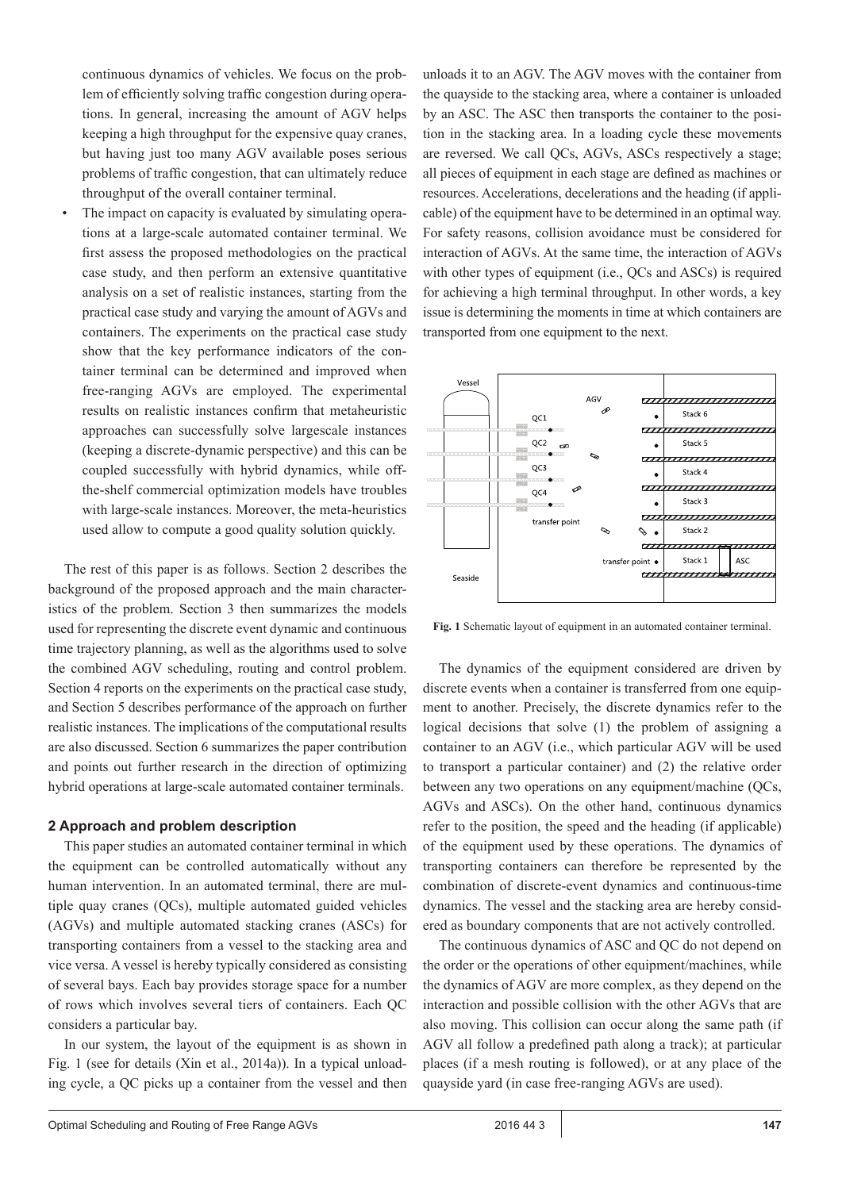continuous dynamics of vehicles. We focus on the problem of efficiently solving traffic congestion during operations. In general, increasing the amount of AGV helps keeping a high throughput for the expensive quay cranes, but having just too many AGV available poses serious problems of traffic congestion, that can ultimately reduce throughput of the overall container terminal.

The impact on capacity is evaluated by simulating operations at a large-scale automated container terminal. We first assess the proposed methodologies on the practical case study, and then perform an extensive quantitative analysis on a set of realistic instances, starting from the practical case study and varying the amount of AGVs and containers. The experiments on the practical case study show that the key performance indicators of the container terminal can be determined and improved when free-ranging AGVs are employed. The experimental results on realistic instances confirm that metaheuristic approaches can successfully solve largescale instances (keeping a discrete-dynamic perspective) and this can be coupled successfully with hybrid dynamics, while offthe-shelf commercial optimization models have troubles with large-scale instances. Moreover, the meta-heuristics used allow to compute a good quality solution quickly.

The rest of this paper is as follows. Section 2 describes the background of the proposed approach and the main characteristics of the problem. Section 3 then summarizes the models used for representing the discrete event dynamic and continuous time trajectory planning, as well as the algorithms used to solve the combined AGV scheduling, routing and control problem. Section 4 reports on the experiments on the practical case study, and Section 5 describes performance of the approach on further realistic instances. The implications of the computational results are also discussed. Section 6 summarizes the paper contribution and points out further research in the direction of optimizing hybrid operations at large-scale automated container terminals.

## **2 Approach and problem description**

This paper studies an automated container terminal in which the equipment can be controlled automatically without any human intervention. In an automated terminal, there are multiple quay cranes (QCs), multiple automated guided vehicles (AGVs) and multiple automated stacking cranes (ASCs) for transporting containers from a vessel to the stacking area and vice versa. A vessel is hereby typically considered as consisting of several bays. Each bay provides storage space for a number of rows which involves several tiers of containers. Each QC considers a particular bay.

In our system, the layout of the equipment is as shown in Fig. 1 (see for details (Xin et al., 2014a)). In a typical unloading cycle, a QC picks up a container from the vessel and then

unloads it to an AGV. The AGV moves with the container from the quayside to the stacking area, where a container is unloaded by an ASC. The ASC then transports the container to the position in the stacking area. In a loading cycle these movements are reversed. We call QCs, AGVs, ASCs respectively a stage; all pieces of equipment in each stage are defined as machines or resources. Accelerations, decelerations and the heading (if applicable) of the equipment have to be determined in an optimal way. For safety reasons, collision avoidance must be considered for interaction of AGVs. At the same time, the interaction of AGVs with other types of equipment (i.e., OCs and ASCs) is required for achieving a high terminal throughput. In other words, a key issue is determining the moments in time at which containers are transported from one equipment to the next.



**Fig. 1** Schematic layout of equipment in an automated container terminal.

The dynamics of the equipment considered are driven by discrete events when a container is transferred from one equipment to another. Precisely, the discrete dynamics refer to the logical decisions that solve (1) the problem of assigning a container to an AGV (i.e., which particular AGV will be used to transport a particular container) and (2) the relative order between any two operations on any equipment/machine (QCs, AGVs and ASCs). On the other hand, continuous dynamics refer to the position, the speed and the heading (if applicable) of the equipment used by these operations. The dynamics of transporting containers can therefore be represented by the combination of discrete-event dynamics and continuous-time dynamics. The vessel and the stacking area are hereby considered as boundary components that are not actively controlled.

The continuous dynamics of ASC and QC do not depend on the order or the operations of other equipment/machines, while the dynamics of AGV are more complex, as they depend on the interaction and possible collision with the other AGVs that are also moving. This collision can occur along the same path (if AGV all follow a predefined path along a track); at particular places (if a mesh routing is followed), or at any place of the quayside yard (in case free-ranging AGVs are used).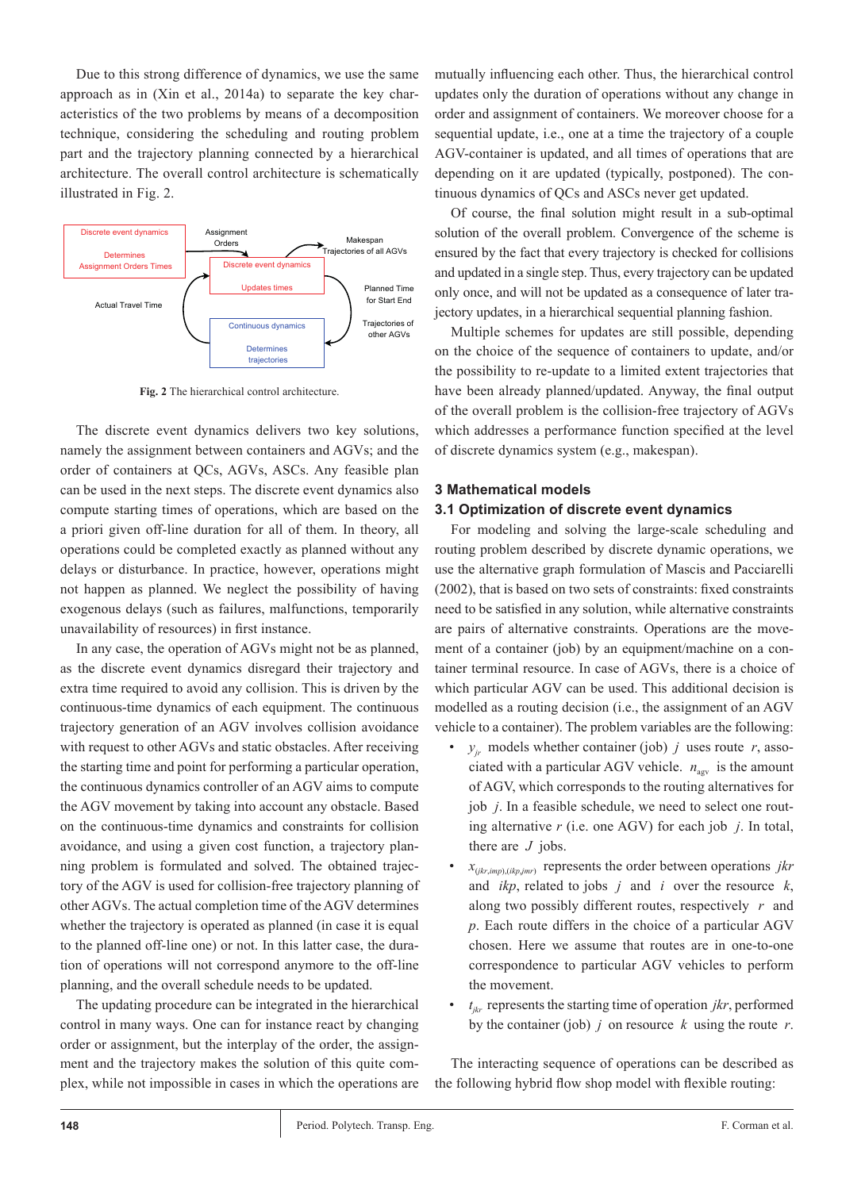Due to this strong difference of dynamics, we use the same approach as in (Xin et al., 2014a) to separate the key characteristics of the two problems by means of a decomposition technique, considering the scheduling and routing problem part and the trajectory planning connected by a hierarchical architecture. The overall control architecture is schematically illustrated in Fig. 2.



**Fig. 2** The hierarchical control architecture.

The discrete event dynamics delivers two key solutions, namely the assignment between containers and AGVs; and the order of containers at QCs, AGVs, ASCs. Any feasible plan can be used in the next steps. The discrete event dynamics also compute starting times of operations, which are based on the a priori given off-line duration for all of them. In theory, all operations could be completed exactly as planned without any delays or disturbance. In practice, however, operations might not happen as planned. We neglect the possibility of having exogenous delays (such as failures, malfunctions, temporarily unavailability of resources) in first instance.

In any case, the operation of AGVs might not be as planned, as the discrete event dynamics disregard their trajectory and extra time required to avoid any collision. This is driven by the continuous-time dynamics of each equipment. The continuous trajectory generation of an AGV involves collision avoidance with request to other AGVs and static obstacles. After receiving the starting time and point for performing a particular operation, the continuous dynamics controller of an AGV aims to compute the AGV movement by taking into account any obstacle. Based on the continuous-time dynamics and constraints for collision avoidance, and using a given cost function, a trajectory planning problem is formulated and solved. The obtained trajectory of the AGV is used for collision-free trajectory planning of other AGVs. The actual completion time of the AGV determines whether the trajectory is operated as planned (in case it is equal to the planned off-line one) or not. In this latter case, the duration of operations will not correspond anymore to the off-line planning, and the overall schedule needs to be updated.

The updating procedure can be integrated in the hierarchical control in many ways. One can for instance react by changing order or assignment, but the interplay of the order, the assignment and the trajectory makes the solution of this quite complex, while not impossible in cases in which the operations are

mutually influencing each other. Thus, the hierarchical control updates only the duration of operations without any change in order and assignment of containers. We moreover choose for a sequential update, i.e., one at a time the trajectory of a couple AGV-container is updated, and all times of operations that are depending on it are updated (typically, postponed). The continuous dynamics of QCs and ASCs never get updated.

Of course, the final solution might result in a sub-optimal solution of the overall problem. Convergence of the scheme is ensured by the fact that every trajectory is checked for collisions and updated in a single step. Thus, every trajectory can be updated only once, and will not be updated as a consequence of later trajectory updates, in a hierarchical sequential planning fashion.

Multiple schemes for updates are still possible, depending on the choice of the sequence of containers to update, and/or the possibility to re-update to a limited extent trajectories that have been already planned/updated. Anyway, the final output of the overall problem is the collision-free trajectory of AGVs which addresses a performance function specified at the level of discrete dynamics system (e.g., makespan).

## **3 Mathematical models**

## **3.1 Optimization of discrete event dynamics**

For modeling and solving the large-scale scheduling and routing problem described by discrete dynamic operations, we use the alternative graph formulation of Mascis and Pacciarelli (2002), that is based on two sets of constraints: fixed constraints need to be satisfied in any solution, while alternative constraints are pairs of alternative constraints. Operations are the movement of a container (job) by an equipment/machine on a container terminal resource. In case of AGVs, there is a choice of which particular AGV can be used. This additional decision is modelled as a routing decision (i.e., the assignment of an AGV vehicle to a container). The problem variables are the following:

- $y_i$  models whether container (job) *j* uses route *r*, associated with a particular AGV vehicle.  $n_{av}$  is the amount of AGV, which corresponds to the routing alternatives for job *j*. In a feasible schedule, we need to select one routing alternative *r* (i.e. one AGV) for each job *j*. In total, there are *J* jobs.
- $x_{(jkr,imp),(ikp,jmr)}$  represents the order between operations *jkr* and *ikp*, related to jobs *j* and *i* over the resource *k*, along two possibly different routes, respectively *r* and *p*. Each route differs in the choice of a particular AGV chosen. Here we assume that routes are in one-to-one correspondence to particular AGV vehicles to perform the movement.
- $t_{ikr}$  represents the starting time of operation *jkr*, performed by the container (job)  $j$  on resource  $k$  using the route  $r$ .

The interacting sequence of operations can be described as the following hybrid flow shop model with flexible routing: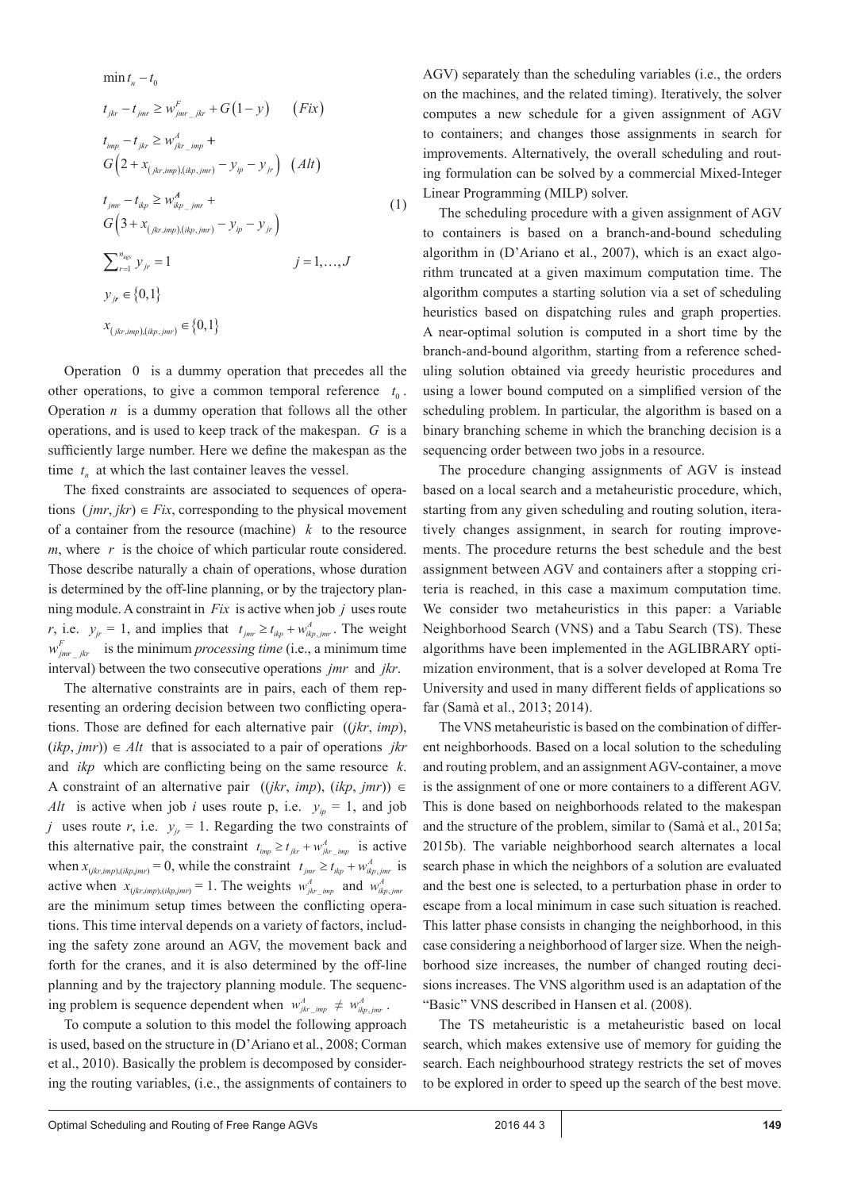$$
\min t_n - t_0
$$
\n
$$
t_{jkr} - t_{jmr} \ge w_{jmr}^F + G(1 - y) \qquad (Fix)
$$
\n
$$
t_{imp} - t_{jkr} \ge w_{jkr\_imp}^A +
$$
\n
$$
G(2 + x_{(jkr,imp),(ikp,jmr)} - y_{ip} - y_{jr}) \qquad (Alt)
$$
\n
$$
t_{jmr} - t_{ikp} \ge w_{ikp\_jmr}^A +
$$
\n
$$
G(3 + x_{(jkr,imp),(ikp,jmr)} - y_{ip} - y_{jr})
$$
\n
$$
\sum_{r=1}^{n_{av}} y_{jr} = 1 \qquad j = 1, ..., J
$$
\n
$$
y_{jr} \in \{0,1\}
$$
\n
$$
x_{(jkr,imp),(ikp,jmr)} \in \{0,1\}
$$

Operation 0 is a dummy operation that precedes all the other operations, to give a common temporal reference  $t_0$ . Operation *n* is a dummy operation that follows all the other operations, and is used to keep track of the makespan. *G* is a sufficiently large number. Here we define the makespan as the time  $t_n$  at which the last container leaves the vessel.

The fixed constraints are associated to sequences of operations  $(jmr, jkr) \in Fix$ , corresponding to the physical movement of a container from the resource (machine)  $k$  to the resource *m*, where *r* is the choice of which particular route considered. Those describe naturally a chain of operations, whose duration is determined by the off-line planning, or by the trajectory planning module. A constraint in *Fix* is active when job *j* uses route *r*, i.e.  $y_j = 1$ , and implies that  $t_{jmr} \ge t_{ikp} + w_{ikp,jmr}^A$ . The weight  $w_{jmr\_jkr}^F$  is the minimum *processing time* (i.e., a minimum time interval) between the two consecutive operations *jmr* and *jkr*.

The alternative constraints are in pairs, each of them representing an ordering decision between two conflicting operations. Those are defined for each alternative pair ((*jkr*, *imp*),  $(ikp, jmr)$ )  $\in$  *Alt* that is associated to a pair of operations *jkr* and *ikp* which are conflicting being on the same resource *k*. A constraint of an alternative pair  $((jkr, imp), (ikp, jmr))$  ∈ *Alt* is active when job *i* uses route p, i.e.  $y_{ip} = 1$ , and job *j* uses route *r*, i.e.  $y_i = 1$ . Regarding the two constraints of this alternative pair, the constraint  $t_{imp} \geq t_{jkr} + w_{jkr\_imp}^A$  is active when  $x_{(jkr,imp),(ikp,jmr)} = 0$ , while the constraint  $t_{jmr} \geq t_{ikp} + w_{ikp,jmr}^A$  is active when  $x_{(jkr,imp),(ikp,jmr)} = 1$ . The weights  $w_{jkr\_imp}^A$  and  $w_{ikp,jmr}^A$ are the minimum setup times between the conflicting operations. This time interval depends on a variety of factors, including the safety zone around an AGV, the movement back and forth for the cranes, and it is also determined by the off-line planning and by the trajectory planning module. The sequencing problem is sequence dependent when  $w_{jkr\_imp}^A \neq w_{ikp,jmr}^A$ .

To compute a solution to this model the following approach is used, based on the structure in (D'Ariano et al., 2008; Corman et al., 2010). Basically the problem is decomposed by considering the routing variables, (i.e., the assignments of containers to AGV) separately than the scheduling variables (i.e., the orders on the machines, and the related timing). Iteratively, the solver computes a new schedule for a given assignment of AGV to containers; and changes those assignments in search for improvements. Alternatively, the overall scheduling and routing formulation can be solved by a commercial Mixed-Integer Linear Programming (MILP) solver.

The scheduling procedure with a given assignment of AGV to containers is based on a branch-and-bound scheduling algorithm in (D'Ariano et al., 2007), which is an exact algorithm truncated at a given maximum computation time. The algorithm computes a starting solution via a set of scheduling heuristics based on dispatching rules and graph properties. A near-optimal solution is computed in a short time by the branch-and-bound algorithm, starting from a reference scheduling solution obtained via greedy heuristic procedures and using a lower bound computed on a simplified version of the scheduling problem. In particular, the algorithm is based on a binary branching scheme in which the branching decision is a sequencing order between two jobs in a resource.

The procedure changing assignments of AGV is instead based on a local search and a metaheuristic procedure, which, starting from any given scheduling and routing solution, iteratively changes assignment, in search for routing improvements. The procedure returns the best schedule and the best assignment between AGV and containers after a stopping criteria is reached, in this case a maximum computation time. We consider two metaheuristics in this paper: a Variable Neighborhood Search (VNS) and a Tabu Search (TS). These algorithms have been implemented in the AGLIBRARY optimization environment, that is a solver developed at Roma Tre University and used in many different fields of applications so far (Samà et al., 2013; 2014).

The VNS metaheuristic is based on the combination of different neighborhoods. Based on a local solution to the scheduling and routing problem, and an assignment AGV-container, a move is the assignment of one or more containers to a different AGV. This is done based on neighborhoods related to the makespan and the structure of the problem, similar to (Samà et al., 2015a; 2015b). The variable neighborhood search alternates a local search phase in which the neighbors of a solution are evaluated and the best one is selected, to a perturbation phase in order to escape from a local minimum in case such situation is reached. This latter phase consists in changing the neighborhood, in this case considering a neighborhood of larger size. When the neighborhood size increases, the number of changed routing decisions increases. The VNS algorithm used is an adaptation of the "Basic" VNS described in Hansen et al. (2008).

The TS metaheuristic is a metaheuristic based on local search, which makes extensive use of memory for guiding the search. Each neighbourhood strategy restricts the set of moves to be explored in order to speed up the search of the best move.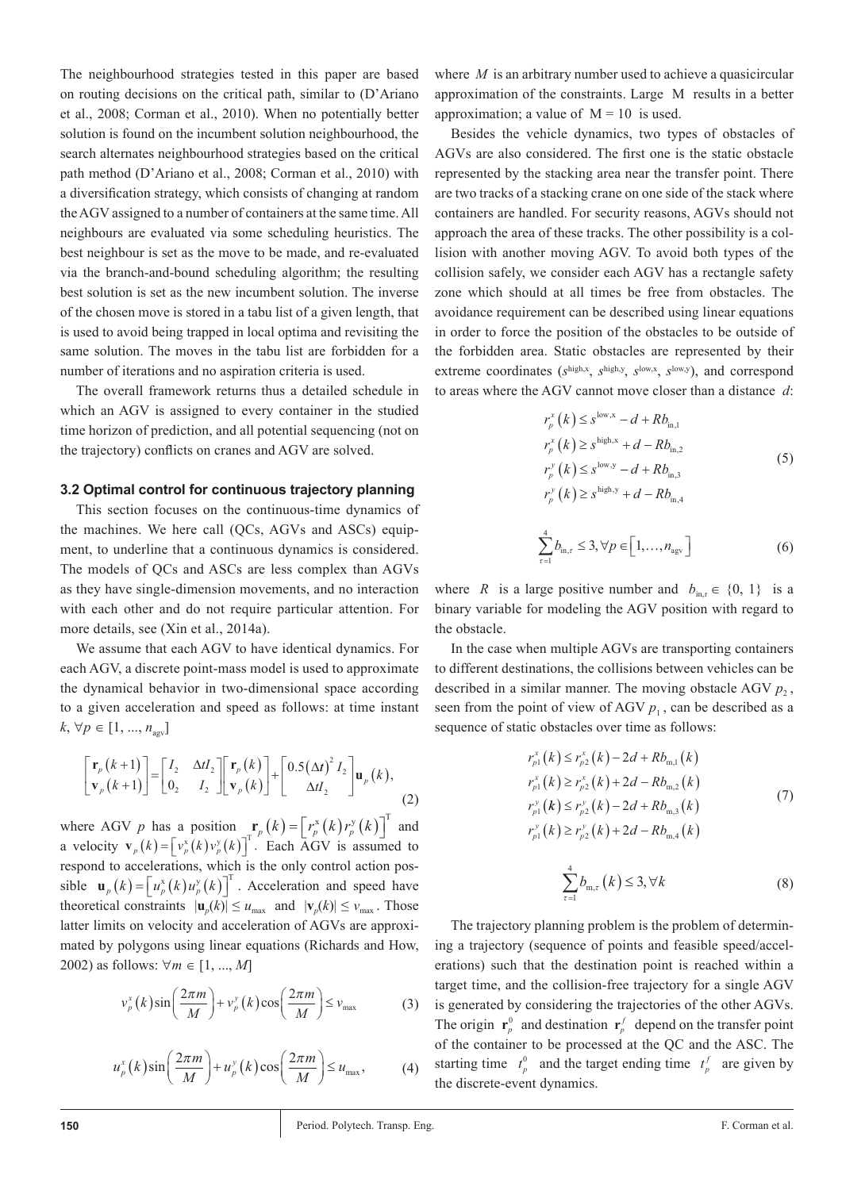The neighbourhood strategies tested in this paper are based on routing decisions on the critical path, similar to (D'Ariano et al., 2008; Corman et al., 2010). When no potentially better solution is found on the incumbent solution neighbourhood, the search alternates neighbourhood strategies based on the critical path method (D'Ariano et al., 2008; Corman et al., 2010) with a diversification strategy, which consists of changing at random the AGV assigned to a number of containers at the same time. All neighbours are evaluated via some scheduling heuristics. The best neighbour is set as the move to be made, and re-evaluated via the branch-and-bound scheduling algorithm; the resulting best solution is set as the new incumbent solution. The inverse of the chosen move is stored in a tabu list of a given length, that is used to avoid being trapped in local optima and revisiting the same solution. The moves in the tabu list are forbidden for a number of iterations and no aspiration criteria is used.

The overall framework returns thus a detailed schedule in which an AGV is assigned to every container in the studied time horizon of prediction, and all potential sequencing (not on the trajectory) conflicts on cranes and AGV are solved.

## **3.2 Optimal control for continuous trajectory planning**

This section focuses on the continuous-time dynamics of the machines. We here call (QCs, AGVs and ASCs) equipment, to underline that a continuous dynamics is considered. The models of QCs and ASCs are less complex than AGVs as they have single-dimension movements, and no interaction with each other and do not require particular attention. For more details, see (Xin et al., 2014a).

We assume that each AGV to have identical dynamics. For each AGV, a discrete point-mass model is used to approximate the dynamical behavior in two-dimensional space according to a given acceleration and speed as follows: at time instant *k*, ∀*p* ∈ [1, ...,  $n_{\text{acy}}$ ]

$$
\begin{bmatrix} \mathbf{r}_{p}(k+1) \\ \mathbf{v}_{p}(k+1) \end{bmatrix} = \begin{bmatrix} I_{2} & \Delta t I_{2} \\ 0_{2} & I_{2} \end{bmatrix} \begin{bmatrix} \mathbf{r}_{p}(k) \\ \mathbf{v}_{p}(k) \end{bmatrix} + \begin{bmatrix} 0.5(\Delta t)^{2} I_{2} \\ \Delta t I_{2} \end{bmatrix} \mathbf{u}_{p}(k), \tag{2}
$$

where AGV *p* has a position  $\mathbf{r}_p(k) = \left[ r_p^x(k) r_p^y(k) \right]^\text{T}$  and a velocity  $\mathbf{v}_p(k) = \left[ v_p^*(k) v_p^*(k) \right]^T$ . Each AGV is assumed to respond to accelerations, which is the only control action possible  $\mathbf{u}_p(k) = \left[ u_p^*(k) u_p^*(k) \right]^T$ . Acceleration and speed have theoretical constraints  $|\mathbf{u}_p(k)| \leq u_{\text{max}}$  and  $|\mathbf{v}_p(k)| \leq v_{\text{max}}$ . Those latter limits on velocity and acceleration of AGVs are approximated by polygons using linear equations (Richards and How, 2002) as follows: ∀*m* ∈ [1, ..., *M*]

$$
v_p^x(k)\sin\left(\frac{2\pi m}{M}\right) + v_p^y(k)\cos\left(\frac{2\pi m}{M}\right) \le v_{\text{max}} \tag{3}
$$

$$
u_p^x(k)\sin\left(\frac{2\pi m}{M}\right) + u_p^y(k)\cos\left(\frac{2\pi m}{M}\right) \le u_{\max},\tag{4}
$$

where *M* is an arbitrary number used to achieve a quasicircular approximation of the constraints. Large M results in a better approximation; a value of  $M = 10$  is used.

Besides the vehicle dynamics, two types of obstacles of AGVs are also considered. The first one is the static obstacle represented by the stacking area near the transfer point. There are two tracks of a stacking crane on one side of the stack where containers are handled. For security reasons, AGVs should not approach the area of these tracks. The other possibility is a collision with another moving AGV. To avoid both types of the collision safely, we consider each AGV has a rectangle safety zone which should at all times be free from obstacles. The avoidance requirement can be described using linear equations in order to force the position of the obstacles to be outside of the forbidden area. Static obstacles are represented by their extreme coordinates  $(s^{\text{high},x}, s^{\text{high},y}, s^{\text{low},x}, s^{\text{low},y})$ , and correspond to areas where the AGV cannot move closer than a distance *d*:

$$
r_p^x(k) \le s^{\text{low},x} - d + Rb_{\text{in},1}
$$
  
\n
$$
r_p^x(k) \ge s^{\text{high},x} + d - Rb_{\text{in},2}
$$
  
\n
$$
r_p^y(k) \le s^{\text{low},y} - d + Rb_{\text{in},3}
$$
  
\n
$$
r_p^y(k) \ge s^{\text{high},y} + d - Rb_{\text{in},4}
$$
  
\n4

$$
\sum_{\tau=1}^{4} b_{\text{in},\tau} \leq 3, \forall p \in \left[1, \dots, n_{\text{agv}}\right] \tag{6}
$$

where *R* is a large positive number and  $b_{\text{in}_{\tau}} \in \{0, 1\}$  is a binary variable for modeling the AGV position with regard to the obstacle.

In the case when multiple AGVs are transporting containers to different destinations, the collisions between vehicles can be described in a similar manner. The moving obstacle AGV  $p_2$ , seen from the point of view of AGV  $p_1$ , can be described as a sequence of static obstacles over time as follows:

$$
r_{p1}^{x}(k) \leq r_{p2}^{x}(k) - 2d + Rb_{m,1}(k)
$$
  
\n
$$
r_{p1}^{x}(k) \geq r_{p2}^{x}(k) + 2d - Rb_{m,2}(k)
$$
  
\n
$$
r_{p1}^{y}(k) \leq r_{p2}^{y}(k) - 2d + Rb_{m,3}(k)
$$
  
\n
$$
r_{p1}^{y}(k) \geq r_{p2}^{y}(k) + 2d - Rb_{m,4}(k)
$$
\n(7)

$$
\sum_{\tau=1}^{4} b_{m,\tau} (k) \le 3, \forall k
$$
 (8)

The trajectory planning problem is the problem of determining a trajectory (sequence of points and feasible speed/accelerations) such that the destination point is reached within a target time, and the collision-free trajectory for a single AGV is generated by considering the trajectories of the other AGVs. The origin  $\mathbf{r}_p^0$  and destination  $\mathbf{r}_p^f$  depend on the transfer point of the container to be processed at the QC and the ASC. The starting time  $t_p^0$  and the target ending time  $t_p^f$  are given by the discrete-event dynamics.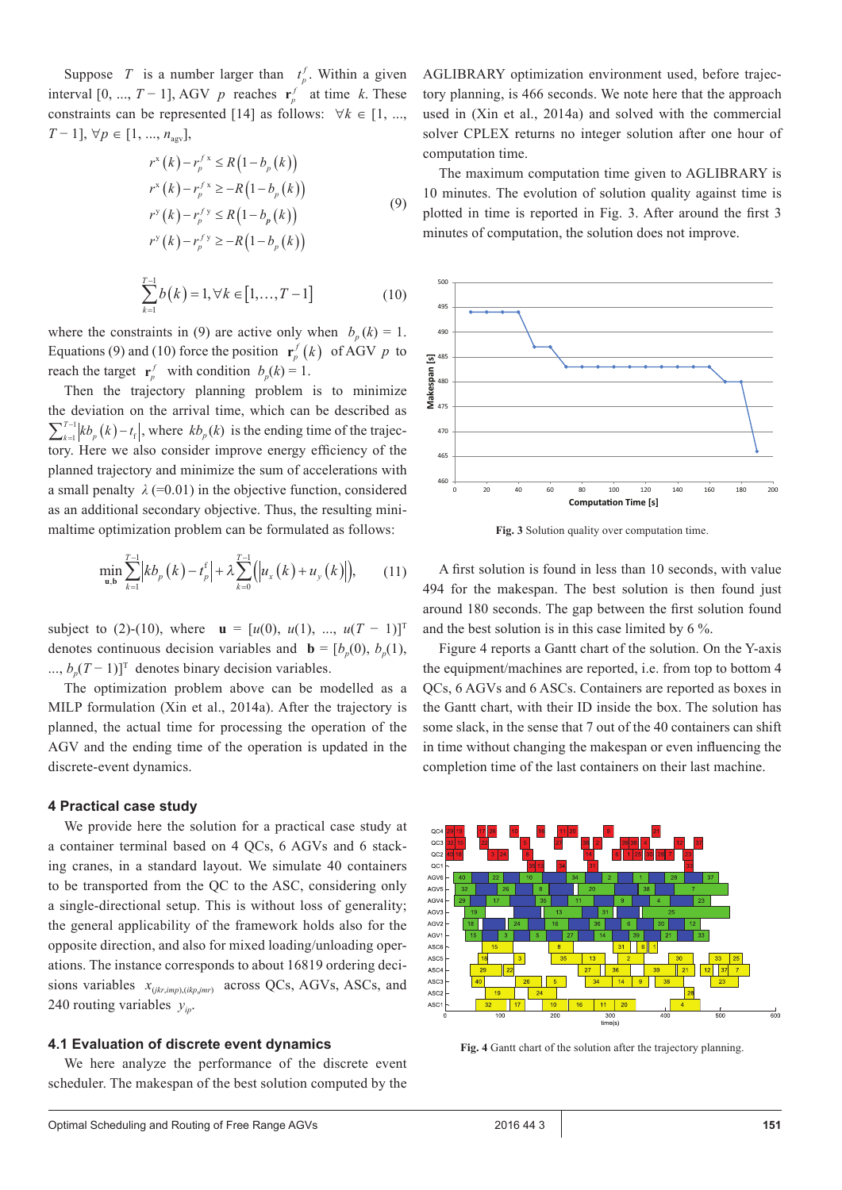Suppose *T* is a number larger than  $t_p^f$ . Within a given interval [0, ...,  $T - 1$ ], AGV  $p$  reaches  $\mathbf{r}_p^f$  at time  $k$ . These constraints can be represented [14] as follows:  $\forall k \in [1, ...,$ *T* − 1],  $\forall p \in [1, ..., n_{\text{agv}}]$ ,

$$
r^{x}(k) - r_{p}^{f x} \le R(1 - b_{p}(k))
$$
  
\n
$$
r^{x}(k) - r_{p}^{f x} \ge -R(1 - b_{p}(k))
$$
  
\n
$$
r^{y}(k) - r_{p}^{f y} \le R(1 - b_{p}(k))
$$
  
\n
$$
r^{y}(k) - r_{p}^{f y} \ge -R(1 - b_{p}(k))
$$
  
\n
$$
r^{y}(k) - r_{p}^{f y} \ge -R(1 - b_{p}(k))
$$
  
\n
$$
r^{y}(k) = r^{y}(k) - R(1 - b_{p}(k))
$$

$$
\sum_{k=1}^{N-1} b(k) = 1, \forall k \in [1, ..., T-1]
$$
 (10)

where the constraints in (9) are active only when  $b_n(k) = 1$ . Equations (9) and (10) force the position  $\mathbf{r}_p^f(k)$  of AGV *p* to reach the target  $\mathbf{r}_p^f$  with condition  $b_p(k) = 1$ .

Then the trajectory planning problem is to minimize the deviation on the arrival time, which can be described as  $\sum_{k=1}^{T-1} |kb_p(k) - t_f|$ , where  $kb_p(k)$  is the ending time of the trajectory. Here we also consider improve energy efficiency of the planned trajectory and minimize the sum of accelerations with a small penalty  $\lambda$  (=0.01) in the objective function, considered as an additional secondary objective. Thus, the resulting minimaltime optimization problem can be formulated as follows:

$$
\min_{\mathbf{u},\mathbf{b}} \sum_{k=1}^{T-1} \left| kb_p(k) - t_p^{\mathrm{f}} \right| + \lambda \sum_{k=0}^{T-1} \left( \left| u_x(k) + u_y(k) \right| \right),\tag{11}
$$

subject to (2)-(10), where  $\mathbf{u} = [u(0), u(1), ..., u(T - 1)]^T$ denotes continuous decision variables and  $\mathbf{b} = [b_n(0), b_n(1)]$ , ...,  $b<sub>p</sub>(T-1)$ ]<sup>T</sup> denotes binary decision variables.

The optimization problem above can be modelled as a MILP formulation (Xin et al., 2014a). After the trajectory is planned, the actual time for processing the operation of the AGV and the ending time of the operation is updated in the discrete-event dynamics.

#### **4 Practical case study**

We provide here the solution for a practical case study at a container terminal based on 4 QCs, 6 AGVs and 6 stacking cranes, in a standard layout. We simulate 40 containers to be transported from the QC to the ASC, considering only a single-directional setup. This is without loss of generality; the general applicability of the framework holds also for the opposite direction, and also for mixed loading/unloading operations. The instance corresponds to about 16819 ordering decisions variables  $x_{(jkr,imp),(ikp,jmr)}$  across QCs, AGVs, ASCs, and 240 routing variables  $y_{ip}$ .

#### **4.1 Evaluation of discrete event dynamics**

We here analyze the performance of the discrete event scheduler. The makespan of the best solution computed by the AGLIBRARY optimization environment used, before trajectory planning, is 466 seconds. We note here that the approach used in (Xin et al., 2014a) and solved with the commercial solver CPLEX returns no integer solution after one hour of computation time.

The maximum computation time given to AGLIBRARY is 10 minutes. The evolution of solution quality against time is plotted in time is reported in Fig. 3. After around the first 3 minutes of computation, the solution does not improve.



**Fig. 3** Solution quality over computation time.

A first solution is found in less than 10 seconds, with value 494 for the makespan. The best solution is then found just around 180 seconds. The gap between the first solution found and the best solution is in this case limited by 6 %.

Figure 4 reports a Gantt chart of the solution. On the Y-axis the equipment/machines are reported, i.e. from top to bottom 4 QCs, 6 AGVs and 6 ASCs. Containers are reported as boxes in the Gantt chart, with their ID inside the box. The solution has some slack, in the sense that 7 out of the 40 containers can shift in time without changing the makespan or even influencing the completion time of the last containers on their last machine.



**Fig. 4** Gantt chart of the solution after the trajectory planning.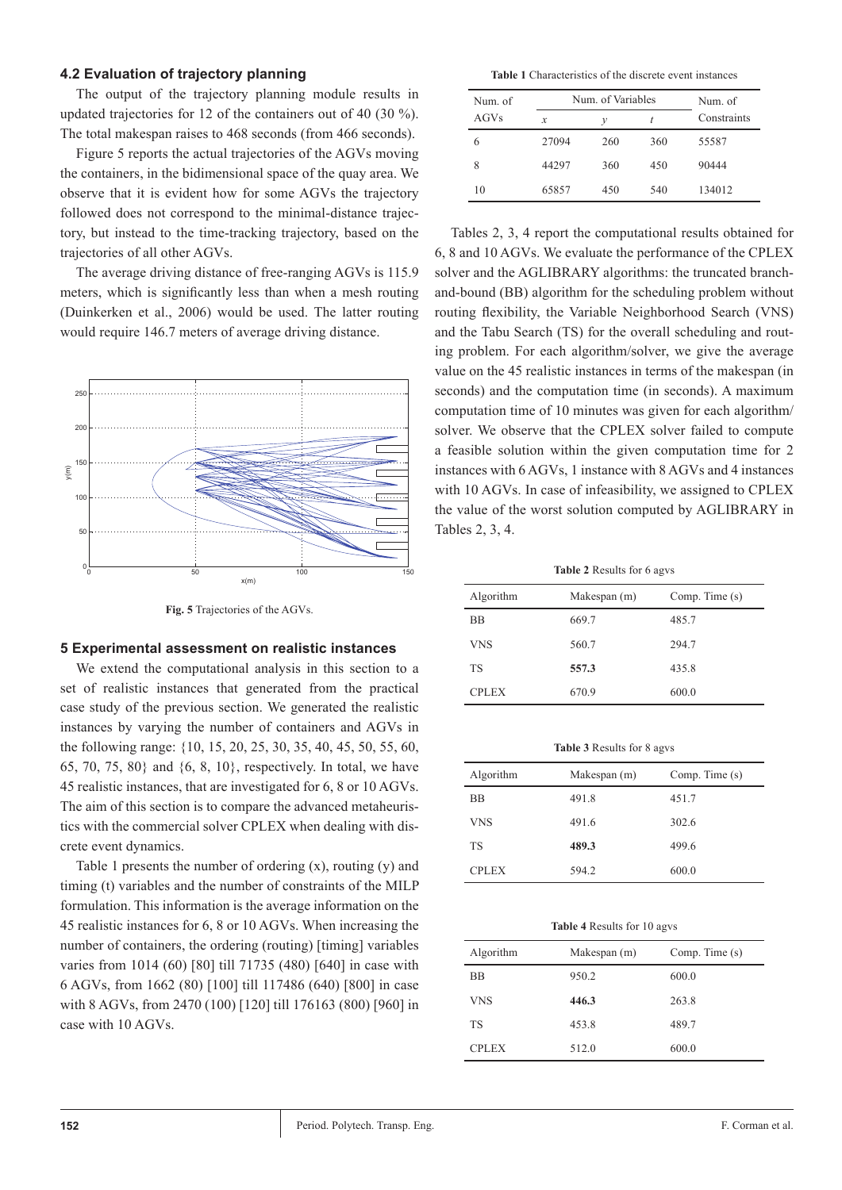## **4.2 Evaluation of trajectory planning**

The output of the trajectory planning module results in updated trajectories for 12 of the containers out of 40 (30 %). The total makespan raises to 468 seconds (from 466 seconds).

Figure 5 reports the actual trajectories of the AGVs moving the containers, in the bidimensional space of the quay area. We observe that it is evident how for some AGVs the trajectory followed does not correspond to the minimal-distance trajectory, but instead to the time-tracking trajectory, based on the trajectories of all other AGVs.

The average driving distance of free-ranging AGVs is 115.9 meters, which is significantly less than when a mesh routing (Duinkerken et al., 2006) would be used. The latter routing would require 146.7 meters of average driving distance.



**Fig. 5** Trajectories of the AGVs.

#### **5 Experimental assessment on realistic instances**

We extend the computational analysis in this section to a set of realistic instances that generated from the practical case study of the previous section. We generated the realistic instances by varying the number of containers and AGVs in the following range: {10, 15, 20, 25, 30, 35, 40, 45, 50, 55, 60, 65, 70, 75, 80} and {6, 8, 10}, respectively. In total, we have 45 realistic instances, that are investigated for 6, 8 or 10 AGVs. The aim of this section is to compare the advanced metaheuristics with the commercial solver CPLEX when dealing with discrete event dynamics.

Table 1 presents the number of ordering (x), routing (y) and timing (t) variables and the number of constraints of the MILP formulation. This information is the average information on the 45 realistic instances for 6, 8 or 10 AGVs. When increasing the number of containers, the ordering (routing) [timing] variables varies from 1014 (60) [80] till 71735 (480) [640] in case with 6 AGVs, from 1662 (80) [100] till 117486 (640) [800] in case with 8 AGVs, from 2470 (100) [120] till 176163 (800) [960] in case with 10 AGVs.

**Table 1** Characteristics of the discrete event instances

| Num. of | Num. of Variables |     |     | Num of      |
|---------|-------------------|-----|-----|-------------|
| AGVs    | $\mathcal{X}$     | ν   |     | Constraints |
| 6       | 27094             | 260 | 360 | 55587       |
| 8       | 44297             | 360 | 450 | 90444       |
| 10      | 65857             | 450 | 540 | 134012      |

Tables 2, 3, 4 report the computational results obtained for 6, 8 and 10 AGVs. We evaluate the performance of the CPLEX solver and the AGLIBRARY algorithms: the truncated branchand-bound (BB) algorithm for the scheduling problem without routing flexibility, the Variable Neighborhood Search (VNS) and the Tabu Search (TS) for the overall scheduling and routing problem. For each algorithm/solver, we give the average value on the 45 realistic instances in terms of the makespan (in seconds) and the computation time (in seconds). A maximum computation time of 10 minutes was given for each algorithm/ solver. We observe that the CPLEX solver failed to compute a feasible solution within the given computation time for 2 instances with 6 AGVs, 1 instance with 8 AGVs and 4 instances with 10 AGVs. In case of infeasibility, we assigned to CPLEX the value of the worst solution computed by AGLIBRARY in Tables 2, 3, 4.

**Table 2** Results for 6 agvs

| Algorithm    | Makespan (m) | Comp. Time $(s)$ |
|--------------|--------------|------------------|
| <b>BB</b>    | 669.7        | 485.7            |
| <b>VNS</b>   | 560.7        | 294.7            |
| TS           | 557.3        | 435.8            |
| <b>CPLEX</b> | 670.9        | 600.0            |

| <b>Table 3</b> Results for 8 agys |              |                  |  |  |  |
|-----------------------------------|--------------|------------------|--|--|--|
| Algorithm                         | Makespan (m) | Comp. Time $(s)$ |  |  |  |
| <b>BB</b>                         | 491.8        | 451.7            |  |  |  |
| <b>VNS</b>                        | 491.6        | 302.6            |  |  |  |
| TS                                | 489.3        | 499.6            |  |  |  |
| <b>CPLEX</b>                      | 594.2        | 600.0            |  |  |  |

| <b>Table 4 Results for 10 agys</b> |              |                  |  |  |
|------------------------------------|--------------|------------------|--|--|
| Algorithm                          | Makespan (m) | Comp. Time $(s)$ |  |  |
| <b>BB</b>                          | 950.2        | 600.0            |  |  |
| VNS                                | 446.3        | 263.8            |  |  |
| TS                                 | 453.8        | 489.7            |  |  |
| <b>CPLEX</b>                       | 512.0        | 600.0            |  |  |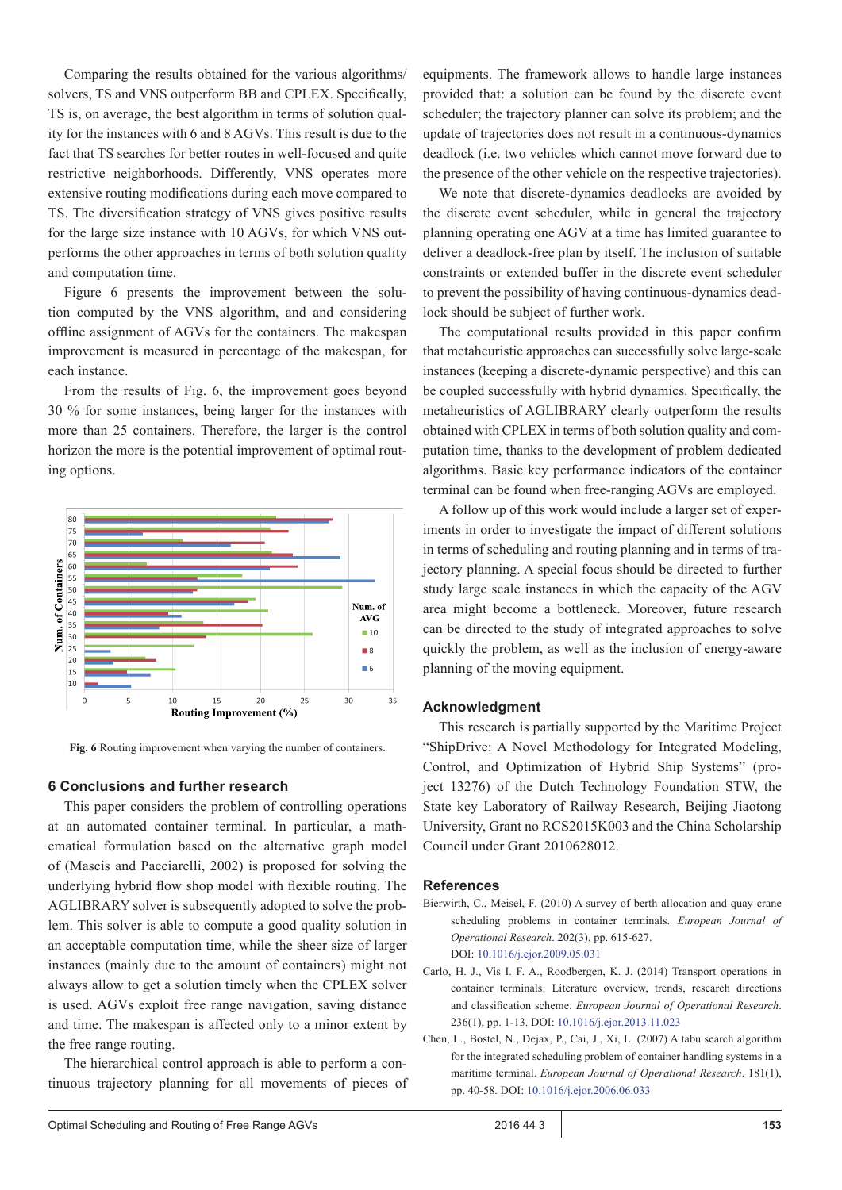Comparing the results obtained for the various algorithms/ solvers, TS and VNS outperform BB and CPLEX. Specifically, TS is, on average, the best algorithm in terms of solution quality for the instances with 6 and 8 AGVs. This result is due to the fact that TS searches for better routes in well-focused and quite restrictive neighborhoods. Differently, VNS operates more extensive routing modifications during each move compared to TS. The diversification strategy of VNS gives positive results for the large size instance with 10 AGVs, for which VNS outperforms the other approaches in terms of both solution quality and computation time.

Figure 6 presents the improvement between the solution computed by the VNS algorithm, and and considering offline assignment of AGVs for the containers. The makespan improvement is measured in percentage of the makespan, for each instance.

From the results of Fig. 6, the improvement goes beyond 30 % for some instances, being larger for the instances with more than 25 containers. Therefore, the larger is the control horizon the more is the potential improvement of optimal routing options.



**Fig. 6** Routing improvement when varying the number of containers.

#### **6 Conclusions and further research**

This paper considers the problem of controlling operations at an automated container terminal. In particular, a mathematical formulation based on the alternative graph model of (Mascis and Pacciarelli, 2002) is proposed for solving the underlying hybrid flow shop model with flexible routing. The AGLIBRARY solver is subsequently adopted to solve the problem. This solver is able to compute a good quality solution in an acceptable computation time, while the sheer size of larger instances (mainly due to the amount of containers) might not always allow to get a solution timely when the CPLEX solver is used. AGVs exploit free range navigation, saving distance and time. The makespan is affected only to a minor extent by the free range routing.

The hierarchical control approach is able to perform a continuous trajectory planning for all movements of pieces of

equipments. The framework allows to handle large instances provided that: a solution can be found by the discrete event scheduler; the trajectory planner can solve its problem; and the update of trajectories does not result in a continuous-dynamics deadlock (i.e. two vehicles which cannot move forward due to the presence of the other vehicle on the respective trajectories).

We note that discrete-dynamics deadlocks are avoided by the discrete event scheduler, while in general the trajectory planning operating one AGV at a time has limited guarantee to deliver a deadlock-free plan by itself. The inclusion of suitable constraints or extended buffer in the discrete event scheduler to prevent the possibility of having continuous-dynamics deadlock should be subject of further work.

The computational results provided in this paper confirm that metaheuristic approaches can successfully solve large-scale instances (keeping a discrete-dynamic perspective) and this can be coupled successfully with hybrid dynamics. Specifically, the metaheuristics of AGLIBRARY clearly outperform the results obtained with CPLEX in terms of both solution quality and computation time, thanks to the development of problem dedicated algorithms. Basic key performance indicators of the container terminal can be found when free-ranging AGVs are employed.

A follow up of this work would include a larger set of experiments in order to investigate the impact of different solutions in terms of scheduling and routing planning and in terms of trajectory planning. A special focus should be directed to further study large scale instances in which the capacity of the AGV area might become a bottleneck. Moreover, future research can be directed to the study of integrated approaches to solve quickly the problem, as well as the inclusion of energy-aware planning of the moving equipment.

#### **Acknowledgment**

This research is partially supported by the Maritime Project "ShipDrive: A Novel Methodology for Integrated Modeling, Control, and Optimization of Hybrid Ship Systems" (project 13276) of the Dutch Technology Foundation STW, the State key Laboratory of Railway Research, Beijing Jiaotong University, Grant no RCS2015K003 and the China Scholarship Council under Grant 2010628012.

#### **References**

- Bierwirth, C., Meisel, F. (2010) A survey of berth allocation and quay crane scheduling problems in container terminals. *European Journal of Operational Research*. 202(3), pp. 615-627. DOI: [10.1016/j.ejor.2009.05.031](http://dx.doi.org/10.1016/j.ejor.2009.05.031)
- Carlo, H. J., Vis I. F. A., Roodbergen, K. J. (2014) Transport operations in container terminals: Literature overview, trends, research directions and classification scheme. *European Journal of Operational Research*. 236(1), pp. 1-13. DOI: [10.1016/j.ejor.2013.11.023](http://dx.doi.org/10.1016/j.ejor.2013.11.023)
- Chen, L., Bostel, N., Dejax, P., Cai, J., Xi, L. (2007) A tabu search algorithm for the integrated scheduling problem of container handling systems in a maritime terminal. *European Journal of Operational Research*. 181(1), pp. 40-58. DOI: [10.1016/j.ejor.2006.06.033](http://dx.doi.org/10.1016/j.ejor.2006.06.033)